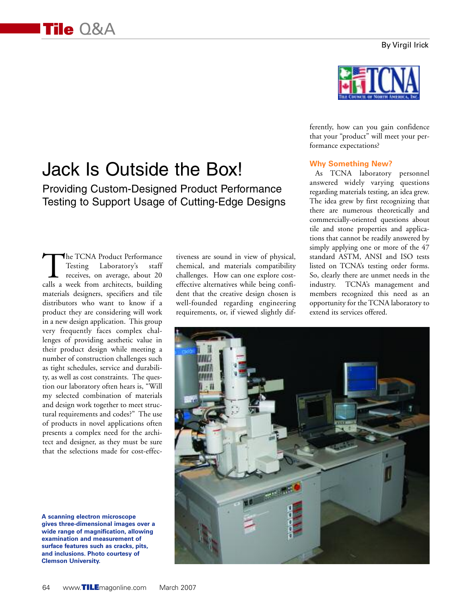# Jack Is Outside the Box!

Providing Custom-Designed Product Performance Testing to Support Usage of Cutting-Edge Designs

The TCNA Product Performance<br>
Testing Laboratory's staff<br>
receives, on average, about 20<br>
calls a week from architects, building Testing Laboratory's staff receives, on average, about 20 materials designers, specifiers and tile distributors who want to know if a product they are considering will work in a new design application. This group very frequently faces complex challenges of providing aesthetic value in their product design while meeting a number of construction challenges such as tight schedules, service and durability, as well as cost constraints. The question our laboratory often hears is, "Will my selected combination of materials and design work together to meet structural requirements and codes?" The use of products in novel applications often presents a complex need for the architect and designer, as they must be sure that the selections made for cost-effec-

**A scanning electron microscope gives three-dimensional images over a wide range of magnification, allowing examination and measurement of surface features such as cracks, pits, and inclusions. Photo courtesy of Clemson University.**

tiveness are sound in view of physical, chemical, and materials compatibility challenges. How can one explore costeffective alternatives while being confident that the creative design chosen is well-founded regarding engineering requirements, or, if viewed slightly dif-



ferently, how can you gain confidence that your "product" will meet your performance expectations?

## **Why Something New?**

As TCNA laboratory personnel answered widely varying questions regarding materials testing, an idea grew. The idea grew by first recognizing that there are numerous theoretically and commercially-oriented questions about tile and stone properties and applications that cannot be readily answered by simply applying one or more of the 47 standard ASTM, ANSI and ISO tests listed on TCNA's testing order forms. So, clearly there are unmet needs in the industry. TCNA's management and members recognized this need as an opportunity for the TCNA laboratory to extend its services offered.

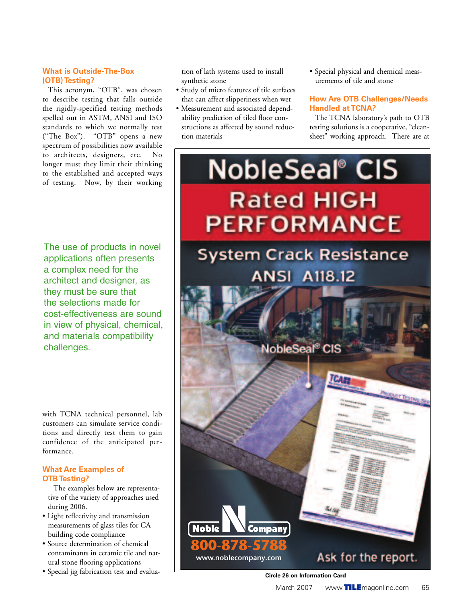### **What is Outside-The-Box (OTB) Testing?**

This acronym, "OTB", was chosen to describe testing that falls outside the rigidly-specified testing methods spelled out in ASTM, ANSI and ISO standards to which we normally test ("The Box"). "OTB" opens a new spectrum of possibilities now available to architects, designers, etc. No longer must they limit their thinking to the established and accepted ways of testing. Now, by their working

The use of products in novel applications often presents a complex need for the architect and designer, as they must be sure that the selections made for cost-effectiveness are sound in view of physical, chemical, and materials compatibility challenges.

with TCNA technical personnel, lab customers can simulate service conditions and directly test them to gain confidence of the anticipated performance.

### **What Are Examples of OTB Testing?**

The examples below are representative of the variety of approaches used during 2006.

- Light reflectivity and transmission measurements of glass tiles for CA building code compliance
- Source determination of chemical contaminants in ceramic tile and natural stone flooring applications
- Special jig fabrication test and evalua-

tion of lath systems used to install synthetic stone

- Study of micro features of tile surfaces that can affect slipperiness when wet
- Measurement and associated dependability prediction of tiled floor constructions as affected by sound reduction materials
- Special physical and chemical measurements of tile and stone

## **How Are OTB Challenges/Needs Handled at TCNA?**

The TCNA laboratory's path to OTB testing solutions is a cooperative, "cleansheet" working approach. There are at